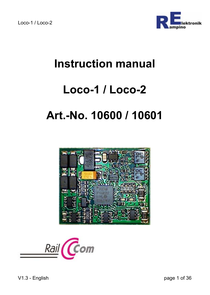

# **Instruction manual**

## **Loco-1 / Loco-2**

# **Art.-No. 10600 / 10601**



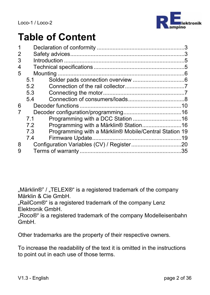

# **Table of Content**

| 1 |     |                                                       |  |  |  |  |  |  |
|---|-----|-------------------------------------------------------|--|--|--|--|--|--|
| 2 |     |                                                       |  |  |  |  |  |  |
| 3 |     |                                                       |  |  |  |  |  |  |
| 4 |     |                                                       |  |  |  |  |  |  |
| 5 |     |                                                       |  |  |  |  |  |  |
|   | 5.1 |                                                       |  |  |  |  |  |  |
|   | 5.2 |                                                       |  |  |  |  |  |  |
|   | 5.3 |                                                       |  |  |  |  |  |  |
|   | 5.4 |                                                       |  |  |  |  |  |  |
| 6 |     |                                                       |  |  |  |  |  |  |
| 7 |     |                                                       |  |  |  |  |  |  |
|   | 71  |                                                       |  |  |  |  |  |  |
|   | 72  | Programming with a Märklin <sup>®</sup> Station16     |  |  |  |  |  |  |
|   | 73  | Programming with a Märklin® Mobile/Central Station 19 |  |  |  |  |  |  |
|   | 7.4 |                                                       |  |  |  |  |  |  |
| 8 |     |                                                       |  |  |  |  |  |  |
| 9 |     |                                                       |  |  |  |  |  |  |
|   |     |                                                       |  |  |  |  |  |  |

"Märklin®" / "TELEX®" is a registered trademark of the company Märklin & Cie GmbH.

"RailCom®" is a registered trademark of the company Lenz Elektronik GmbH.

"Roco®" is a registered trademark of the company Modelleisenbahn GmbH.

Other trademarks are the property of their respective owners.

To increase the readability of the text it is omitted in the instructions to point out in each use of those terms.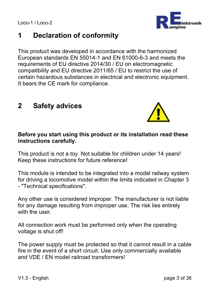## **1 Declaration of conformity**

This product was developed in accordance with the harmonized European standards EN 55014-1 and EN 61000-6-3 and meets the requirements of EU directive 2014/30 / EU on electromagnetic compatibility and EU directive 2011/65 / EU to restrict the use of certain hazardous substances in electrical and electronic equipment. It bears the CE mark for compliance.

## **2 Safety advices**

#### **Before you start using this product or its installation read these instructions carefully.**

This product is not a toy. Not suitable for children under 14 years! Keep these instructions for future reference!

This module is intended to be integrated into a model railway system for driving a locomotive model within the limits indicated in Chapter 3 - "Technical specifications".

Any other use is considered improper. The manufacturer is not liable for any damage resulting from improper use. The risk lies entirely with the user

All connection work must be performed only when the operating voltage is shut off!

The power supply must be protected so that it cannot result in a cable fire in the event of a short circuit. Use only commercially available and VDE / EN model railroad transformers!



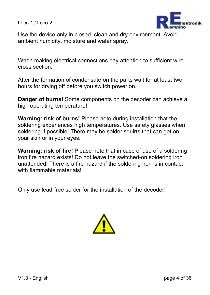

Use the device only in closed, clean and dry environment. Avoid ambient humidity, moisture and water spray.

When making electrical connections pay attention to sufficient wire cross section.

After the formation of condensate on the parts wait for at least two hours for drying off before you switch power on.

**Danger of burns!** Some components on the decoder can achieve a high operating temperature!

**Warning: risk of burns!** Please note during installation that the soldering experiences high temperatures. Use safety glasses when soldering if possible! There may be solder squirts that can get on your skin or in your eyes.

**Warning: risk of fire!** Please note that in case of use of a soldering iron fire hazard exists! Do not leave the switched-on soldering iron unattended! There is a fire hazard if the soldering iron is in contact with flammable materials!

Only use lead-free solder for the installation of the decoder!

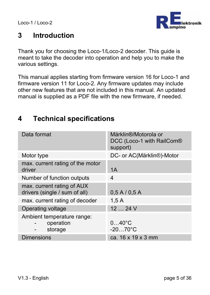

## **3 Introduction**

Thank you for choosing the Loco-1/Loco-2 decoder. This guide is meant to take the decoder into operation and help you to make the various settings.

This manual applies starting from firmware version 16 for Loco-1 and firmware version 11 for Loco-2. Any firmware updates may include other new features that are not included in this manual. An updated manual is supplied as a PDF file with the new firmware, if needed.

## **4 Technical specifications**

| Data format                                                 | Märklin®/Motorola or<br>DCC (Loco-1 with RailCom®<br>support) |
|-------------------------------------------------------------|---------------------------------------------------------------|
| Motor type                                                  | DC- or AC(Märklin®)-Motor                                     |
| max. current rating of the motor<br>driver                  | 1A                                                            |
| Number of function outputs                                  | 4                                                             |
| max. current rating of AUX<br>drivers (single / sum of all) | 0.5 A / 0.5 A                                                 |
| max. current rating of decoder                              | 1.5A                                                          |
| Operating voltage                                           | 1224V                                                         |
| Ambient temperature range:<br>operation<br>storage          | $040^{\circ}$ C<br>$-2070^{\circ}$ C                          |
| <b>Dimensions</b>                                           | ca. 16 x 19 x 3 mm                                            |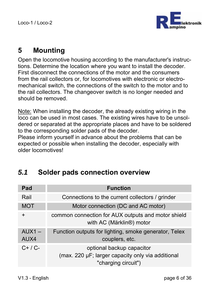

## **5 Mounting**

Open the locomotive housing according to the manufacturer's instructions. Determine the location where you want to install the decoder. First disconnect the connections of the motor and the consumers from the rail collectors or, for locomotives with electronic or electromechanical switch, the connections of the switch to the motor and to the rail collectors. The changeover switch is no longer needed and should be removed.

Note: When installing the decoder, the already existing wiring in the loco can be used in most cases. The existing wires have to be unsoldered or separated at the appropriate places and have to be soldered to the corresponding solder pads of the decoder.

Please inform yourself in advance about the problems that can be expected or possible when installing the decoder, especially with older locomotives!

## *5.1* **Solder pads connection overview**

| Pad              | <b>Function</b>                                                                                       |
|------------------|-------------------------------------------------------------------------------------------------------|
| Rail             | Connections to the current collectors / grinder                                                       |
| <b>MOT</b>       | Motor connection (DC and AC motor)                                                                    |
| $\ddot{}$        | common connection for AUX outputs and motor shield<br>with AC (Märklin®) motor                        |
| $AUX1 -$<br>AUX4 | Function outputs for lighting, smoke generator, Telex<br>couplers, etc.                               |
| $C+ / C-$        | optional backup capacitor<br>(max. 220 µF; larger capacity only via additional<br>"charging circuit") |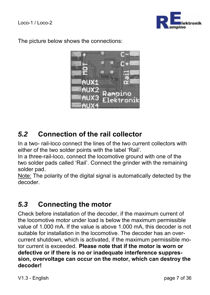

The picture below shows the connections:



## *5.2* **Connection of the rail collector**

In a two- rail-loco connect the lines of the two current collectors with either of the two solder points with the label 'Rail'.

In a three-rail-loco, connect the locomotive ground with one of the two solder pads called 'Rail'. Connect the grinder with the remaining solder pad.

Note: The polarity of the digital signal is automatically detected by the decoder.

## *5.3* **Connecting the motor**

Check before installation of the decoder, if the maximum current of the locomotive motor under load is below the maximum permissible value of 1.000 mA. If the value is above 1.000 mA, this decoder is not suitable for installation in the locomotive. The decoder has an overcurrent shutdown, which is activated, if the maximum permissible motor current is exceeded. **Please note that if the motor is worn or defective or if there is no or inadequate interference suppression, overvoltage can occur on the motor, which can destroy the decoder!**

V1.3 - English page 7 of 36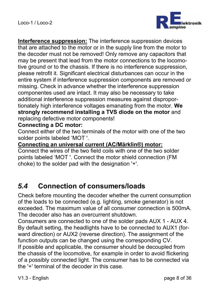

**Interference suppression:** The interference suppression devices that are attached to the motor or in the supply line from the motor to the decoder must not be removed! Only remove any capacitors that may be present that lead from the motor connections to the locomotive ground or to the chassis. If there is no interference suppression, please retrofit it. Significant electrical disturbances can occur in the entire system if interference suppression components are removed or missing. Check in advance whether the interference suppression componentes used are intact. It may also be necessary to take additional interference suppression measures against disproportionately high interference voltages emanating from the motor. **We strongly recommend installing a TVS diode on the motor** and replacing defective motor components!

#### **Connecting a DC motor:**

Connect either of the two terminals of the motor with one of the two solder points labeled 'MOT '.

**Connecting an universal current (AC/Märklin®) motor:** 

Connect the wires of the two field coils with one of the two solder points labeled 'MOT '. Connect the motor shield connection (FM choke) to the solder pad with the designation '+'.

## *5.4* **Connection of consumers/loads**

Check before mounting the decoder whether the current consumption of the loads to be connected (e.g. lighting, smoke generator) is not exceeded. The maximum value of all consumer connection is 500mA. The decoder also has an overcurrent shutdown.

Consumers are connected to one of the solder pads AUX 1 - AUX 4. By default setting, the headlights have to be connected to AUX1 (forward direction) or AUX2 (reverse direction). The assignment of the function outputs can be changed using the corresponding CV. If possible and applicable, the consumer should be decoupled from the chassis of the locomotive, for example in order to avoid flickering of a possibly connected light. The consumer has to be connected via the '+' terminal of the decoder in this case.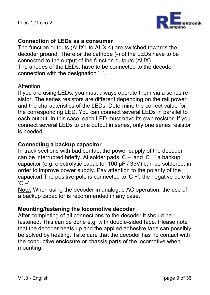

#### **Connection of LEDs as a consumer**

The function outputs (AUX1 to AUX 4) are switched towards the decoder ground. Therefor the cathode (-) of the LEDs have to be connected to the output of the function outputs (AUX). The anodes of the LEDs, have to be connected to the decoder connection with the designation '+'.

#### Attention:

If you are using LEDs, you must always operate them via a series resistor. The series resistors are different depending on the rail power and the characteristics of the LEDs. Determine the correct value for the corresponding LED. You can connect several LEDs in parallel to each output. In this case, each LED must have its own resistor. If you connect several LEDs to one output in series, only one series resistor is needed.

#### **Connecting a backup capacitor**

In track sections with bad contact the power supply of the decoder can be interrupted briefly. At solder pads 'C –' and 'C +' a backup capacitor (e.g. electrolytic capacitor 100 µF / 35V) can be soldered, in order to improve power supply. Pay attention to the polarity of the capacitor! The positive pole is connected to  $C +$ , the negative pole to  $^{\circ}$ C  $-^{\circ}$ .

Note: When using the decoder in analogue AC operation, the use of a backup capacitor is recommended in any case.

#### **Mounting/fastening the locomotive decoder**

After completing of all connections to the decoder it should be fastened. This can be done e.g. with double-sided tape. Please note that the decoder heats up and the applied adhesive tape can possibly be solved by heating. Take care that the decoder has no contact with the conductive enclosure or chassis parts of the locomotive when mounting.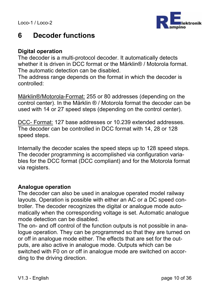

## **6 Decoder functions**

#### **Digital operation**

The decoder is a multi-protocol decoder. It automatically detects whether it is driven in DCC format or the Märklin® / Motorola format. The automatic detection can be disabled.

The address range depends on the format in which the decoder is controlled:

Märklin®/Motorola-Format: 255 or 80 addresses (depending on the control center). In the Märklin ® / Motorola format the decoder can be used with 14 or 27 speed steps (depending on the control center).

DCC- Format: 127 base addresses or 10.239 extended addresses. The decoder can be controlled in DCC format with 14, 28 or 128 speed steps.

Internally the decoder scales the speed steps up to 128 speed steps. The decoder programming is accomplished via configuration variables for the DCC format (DCC compliant) and for the Motorola format via registers.

#### **Analogue operation**

The decoder can also be used in analogue operated model railway layouts. Operation is possible with either an AC or a DC speed controller. The decoder recognizes the digital or analogue mode automatically when the corresponding voltage is set. Automatic analogue mode detection can be disabled.

The on- and off control of the function outputs is not possible in analogue operation. They can be programmed so that they are turned on or off in analogue mode either. The effects that are set for the outputs, are also active in analogue mode. Outputs which can be switched with F0 on or off in analogue mode are switched on according to the driving direction.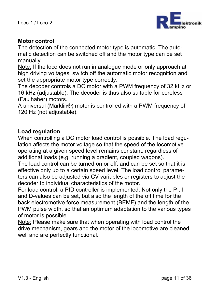

#### **Motor control**

The detection of the connected motor type is automatic. The automatic detection can be switched off and the motor type can be set manually.

Note: If the loco does not run in analogue mode or only approach at high driving voltages, switch off the automatic motor recognition and set the appropriate motor type correctly.

The decoder controls a DC motor with a PWM frequency of 32 kHz or 16 kHz (adjustable). The decoder is thus also suitable for coreless (Faulhaber) motors.

A universal (Märklin®) motor is controlled with a PWM frequency of 120 Hz (not adjustable).

#### **Load regulation**

When controlling a DC motor load control is possible. The load regulation affects the motor voltage so that the speed of the locomotive operating at a given speed level remains constant, regardless of additional loads (e.g. running a gradient, coupled wagons).

The load control can be turned on or off, and can be set so that it is effective only up to a certain speed level. The load control parameters can also be adjusted via CV variables or registers to adjust the decoder to individual characteristics of the motor.

For load control, a PID controller is implemented. Not only the P-, Iand D-values can be set, but also the length of the off time for the back electromotive force measurement (BEMF) and the length of the PWM pulse width, so that an optimum adaptation to the various types of motor is possible.

Note: Please make sure that when operating with load control the drive mechanism, gears and the motor of the locomotive are cleaned well and are perfectly functional.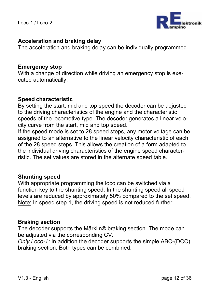

#### **Acceleration and braking delay**

The acceleration and braking delay can be individually programmed.

#### **Emergency stop**

With a change of direction while driving an emergency stop is executed automatically.

#### **Speed characteristic**

By setting the start, mid and top speed the decoder can be adjusted to the driving characteristics of the engine and the characteristic speeds of the locomotive type. The decoder generates a linear velocity curve from the start, mid and top speed.

If the speed mode is set to 28 speed steps, any motor voltage can be assigned to an alternative to the linear velocity characteristic of each of the 28 speed steps. This allows the creation of a form adapted to the individual driving characteristics of the engine speed characterristic. The set values are stored in the alternate speed table.

#### **Shunting speed**

With appropriate programming the loco can be switched via a function key to the shunting speed. In the shunting speed all speed levels are reduced by approximately 50% compared to the set speed. Note: In speed step 1, the driving speed is not reduced further.

#### **Braking section**

The decoder supports the Märklin® braking section. The mode can be adjusted via the corresponding CV.

*Only Loco-1:* In addition the decoder supports the simple ABC-(DCC) braking section. Both types can be combined.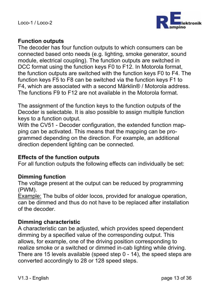

#### **Function outputs**

The decoder has four function outputs to which consumers can be connected based onto needs (e.g. lighting, smoke generator, sound module, electrical coupling). The function outputs are switched in DCC format using the function keys F0 to F12. In Motorola format, the function outputs are switched with the function keys F0 to F4. The function keys F5 to F8 can be switched via the function keys F1 to F4, which are associated with a second Märklin® / Motorola address. The functions F9 to F12 are not available in the Motorola format.

The assignment of the function keys to the function outputs of the Decoder is selectable. It is also possible to assign multiple function keys to a function output.

With the CV51 - Decoder configuration, the extended function mapping can be activated. This means that the mapping can be programmed depending on the direction. For example, an additional direction dependent lighting can be connected.

#### **Effects of the function outputs**

For all function outputs the following effects can individually be set:

#### **Dimming function**

The voltage present at the output can be reduced by programming (PWM).

Example: The bulbs of older locos, provided for analogue operation, can be dimmed and thus do not have to be replaced after installation of the decoder.

#### **Dimming characteristic**

A characteristic can be adjusted, which provides speed dependent dimming by a specified value of the corresponding output. This allows, for example, one of the driving position corresponding to realize smoke or a switched or dimmed in-cab lighting while driving. There are 15 levels available (speed step 0 - 14), the speed steps are converted accordingly to 28 or 128 speed steps.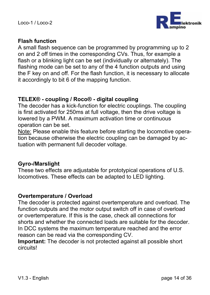

#### **Flash function**

A small flash sequence can be programmed by programming up to 2 on and 2 off times in the corresponding CVs. Thus, for example a flash or a blinking light can be set (individually or alternately). The flashing mode can be set to any of the 4 function outputs and using the F key on and off. For the flash function, it is necessary to allocate it accordingly to bit 6 of the mapping function.

#### **TELEX® - coupling / Roco® - digital coupling**

The decoder has a kick-function for electric couplings. The coupling is first activated for 250ms at full voltage, then the drive voltage is lowered by a PWM. A maximum activation time or continuous operation can be set.

Note: Please enable this feature before starting the locomotive operation because otherwise the electric coupling can be damaged by actuation with permanent full decoder voltage.

#### **Gyro-/Marslight**

These two effects are adjustable for prototypical operations of U.S. locomotives. These effects can be adapted to LED lighting.

#### **Overtemperature / Overload**

The decoder is protected against overtemperature and overload. The function outputs and the motor output switch off in case of overload or overtemperature. If this is the case, check all connections for shorts and whether the connected loads are suitable for the decoder. In DCC systems the maximum temperature reached and the error reason can be read via the corresponding CV.

**Important:** The decoder is not protected against all possible short circuits!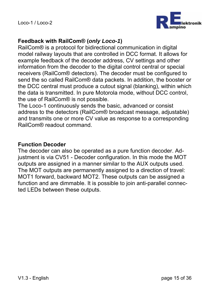

#### **Feedback with RailCom® (***only Loco-1***)**

RailCom® is a protocol for bidirectional communication in digital model railway layouts that are controlled in DCC format. It allows for example feedback of the decoder address, CV settings and other information from the decoder to the digital control central or special receivers (RailCom® detectors). The decoder must be configured to send the so called RailCom® data packets. In addition, the booster or the DCC central must produce a cutout signal (blanking), within which the data is transmitted. In pure Motorola mode, without DCC control, the use of RailCom® is not possible.

The Loco-1 continuously sends the basic, advanced or consist address to the detectors (RailCom® broadcast message, adjustable) and transmits one or more CV value as response to a corresponding RailCom® readout command.

#### **Function Decoder**

The decoder can also be operated as a pure function decoder. Adjustment is via CV51 - Decoder configuration. In this mode the MOT outputs are assigned in a manner similar to the AUX outputs used. The MOT outputs are permanently assigned to a direction of travel: MOT1 forward, backward MOT2. These outputs can be assigned a function and are dimmable. It is possible to join anti-parallel connected LEDs between these outputs.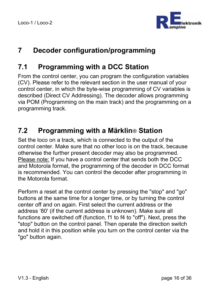

## **7 Decoder configuration/programming**

## **7.1 Programming with a DCC Station**

From the control center, you can program the configuration variables (CV). Please refer to the relevant section in the user manual of your control center, in which the byte-wise programming of CV variables is described (Direct CV Addressing). The decoder allows programming via POM (Programming on the main track) and the programming on a programming track.

## **7.2 Programming with a Märklin***®* **Station**

Set the loco on a track, which is connected to the output of the control center. Make sure that no other loco is on the track, because otherwise the further present decoder may also be programmed. Please note: If you have a control center that sends both the DCC and Motorola format, the programming of the decoder in DCC format is recommended. You can control the decoder after programming in the Motorola format.

Perform a reset at the control center by pressing the "stop" and "go" buttons at the same time for a longer time, or by turning the control center off and on again. First select the current address or the address '80' (if the current address is unknown). Make sure all functions are switched off (function, f1 to f4 to "off"). Next, press the "stop" button on the control panel. Then operate the direction switch and hold it in this position while you turn on the control center via the "go" button again.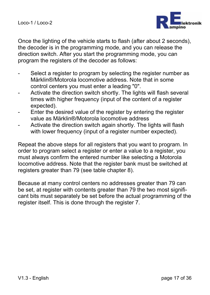

Once the lighting of the vehicle starts to flash (after about 2 seconds), the decoder is in the programming mode, and you can release the direction switch. After you start the programming mode, you can program the registers of the decoder as follows:

- Select a register to program by selecting the register number as Märklin®/Motorola locomotive address. Note that in some control centers you must enter a leading "0".
- Activate the direction switch shortly. The lights will flash several times with higher frequency (input of the content of a register expected).
- Enter the desired value of the register by entering the register value as Märklin®/Motorola locomotive address
- Activate the direction switch again shortly. The lights will flash with lower frequency (input of a register number expected).

Repeat the above steps for all registers that you want to program. In order to program select a register or enter a value to a register, you must always confirm the entered number like selecting a Motorola locomotive address. Note that the register bank must be switched at registers greater than 79 (see table chapter 8).

Because at many control centers no addresses greater than 79 can be set, at register with contents greater than 79 the two most significant bits must separately be set before the actual programming of the register itself. This is done through the register 7.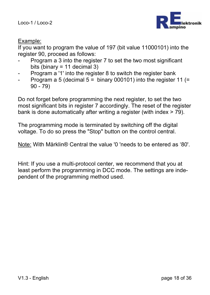

#### Example:

If you want to program the value of 197 (bit value 11000101) into the register 90, proceed as follows:

- Program a 3 into the register 7 to set the two most significant bits (binary  $= 11$  decimal 3)
- Program a '1' into the register 8 to switch the register bank
- Program a 5 (decimal  $5 = binary 000101$ ) into the register 11 (= 90 - 79)

Do not forget before programming the next register, to set the two most significant bits in register 7 accordingly. The reset of the register bank is done automatically after writing a register (with index > 79).

The programming mode is terminated by switching off the digital voltage. To do so press the "Stop" button on the control central.

Note: With Märklin® Central the value '0 'needs to be entered as '80'.

Hint: If you use a multi-protocol center, we recommend that you at least perform the programming in DCC mode. The settings are independent of the programming method used.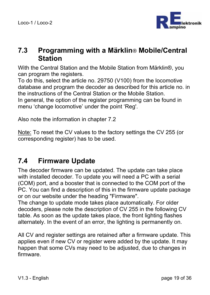

### **7.3 Programming with a Märklin***®* **Mobile/Central Station**

With the Central Station and the Mobile Station from Märklin®, you can program the registers.

To do this, select the article no. 29750 (V100) from the locomotive database and program the decoder as described for this article no. in the instructions of the Central Station or the Mobile Station. In general, the option of the register programming can be found in menu 'change locomotive' under the point 'Reg'.

Also note the information in chapter 7.2

Note: To reset the CV values to the factory settings the CV 255 (or corresponding register) has to be used.

## **7.4 Firmware Update**

The decoder firmware can be updated. The update can take place with installed decoder. To update you will need a PC with a serial (COM) port, and a booster that is connected to the COM port of the PC. You can find a description of this in the firmware update package or on our website under the heading "Firmware".

The change to update mode takes place automatically. For older decoders, please note the description of CV 255 in the following CV table. As soon as the update takes place, the front lighting flashes alternately. In the event of an error, the lighting is permanently on.

All CV and register settings are retained after a firmware update. This applies even if new CV or register were added by the update. It may happen that some CVs may need to be adjusted, due to changes in firmware.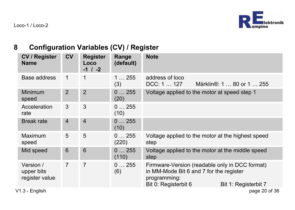## **8 Configuration Variables (CV) / Register**

| <b>CV / Register</b><br><b>Name</b>       | CV             | <b>Register</b><br>Loco<br>$-1$ / $-2$ | Range<br>(default) | <b>Note</b>                                                                                                                                               |
|-------------------------------------------|----------------|----------------------------------------|--------------------|-----------------------------------------------------------------------------------------------------------------------------------------------------------|
| Base address                              | $\mathbf 1$    | 1                                      | 1255<br>(3)        | address of loco<br>Märklin <sup>®</sup> : 1  80 or 1  255<br>DCC: 1  127                                                                                  |
| Minimum<br>speed                          | $\mathfrak{p}$ | $\overline{2}$                         | 0255<br>(20)       | Voltage applied to the motor at speed step 1                                                                                                              |
| Acceleration<br>rate                      | 3              | 3                                      | 0255<br>(10)       |                                                                                                                                                           |
| <b>Break rate</b>                         | $\overline{4}$ | $\overline{4}$                         | 0255<br>(10)       |                                                                                                                                                           |
| Maximum<br>speed                          | 5              | 5                                      | 0255<br>(220)      | Voltage applied to the motor at the highest speed<br>step                                                                                                 |
| Mid speed                                 | 6              | 6                                      | 0255<br>(110)      | Voltage applied to the motor at the middle speed<br>step                                                                                                  |
| Version /<br>upper bits<br>register value | 7              | 7                                      | 0255<br>(6)        | Firmware-Version (readable only in DCC format)<br>in MM-Mode Bit 6 and 7 for the register<br>programming:<br>Bit 0: Registerbit 6<br>Bit 1: Registerbit 7 |
| V1.3 - English                            |                |                                        |                    | page 20 of 36                                                                                                                                             |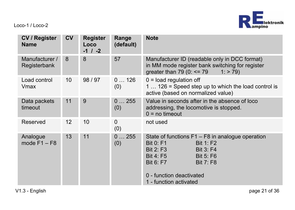

| <b>CV / Register</b><br><b>Name</b> | <b>CV</b>       | <b>Register</b><br>Loco<br>$-1$ / $-2$ | Range<br>(default)              | <b>Note</b>                                                                                                                                                                                                                                                              |
|-------------------------------------|-----------------|----------------------------------------|---------------------------------|--------------------------------------------------------------------------------------------------------------------------------------------------------------------------------------------------------------------------------------------------------------------------|
| Manufacturer /<br>Registerbank      | 8               | 8                                      | 57                              | Manufacturer ID (readable only in DCC format)<br>in MM mode register bank switching for register<br>qreater than $79(0) \leq 79$<br>$1:$ > 79)                                                                                                                           |
| Load control<br>Vmax                | 10 <sup>1</sup> | 98/97                                  | 0126<br>(0)                     | $0 =$ load regulation off<br>1 $\dots$ 126 = Speed step up to which the load control is<br>active (based on normalized value)                                                                                                                                            |
| Data packets<br>timeout             | 11              | 9                                      | 0255<br>(0)                     | Value in seconds after in the absence of loco<br>addressing, the locomotive is stopped.<br>$0 = no$ timeout                                                                                                                                                              |
| Reserved                            | 12              | 10                                     | $\Omega$<br>(0)                 | not used                                                                                                                                                                                                                                                                 |
| Analogue<br>mode $F1 - F8$          | 13              | 11                                     | $\ldots$ 255<br>$\Omega$<br>(0) | State of functions $F1 - F8$ in analogue operation<br><b>Bit 0: F1</b><br><b>Bit 1: F2</b><br><b>Bit 2: F3</b><br><b>Bit 3: F4</b><br><b>Bit 4: F5</b><br><b>Bit 5: F6</b><br><b>Bit 6: F7</b><br><b>Bit 7: F8</b><br>0 - function deactivated<br>1 - function activated |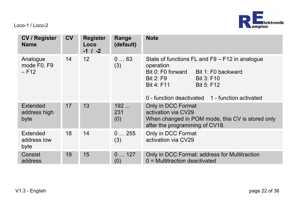

| <b>CV / Register</b><br><b>Name</b> | <b>CV</b> | <b>Register</b><br>Loco<br>$-1$ / $-2$ | Range<br>(default) | <b>Note</b>                                                                                                                                                                                                             |
|-------------------------------------|-----------|----------------------------------------|--------------------|-------------------------------------------------------------------------------------------------------------------------------------------------------------------------------------------------------------------------|
| Analogue<br>mode F0. F9<br>$-F12$   | 14        | 12                                     | 063<br>(3)         | State of functions FL and F9 - F12 in analogue<br>operation<br>Bit 0: F0 forward<br>Bit 1: F0 backward<br><b>Bit 2: F9</b><br>Bit 3: F10<br>Bit 4: F11<br>Bit 5: F12<br>0 - function deactivated 1 - function activated |
| Extended<br>address high<br>byte    | 17        | 13                                     | 192<br>231<br>(0)  | Only in DCC Format<br>activation via CV29<br>When changed in POM mode, this CV is stored only<br>after the programming of CV18.                                                                                         |
| Extended<br>address low<br>byte     | 18        | 14                                     | 0255<br>(3)        | Only in DCC Format<br>activation via CV29                                                                                                                                                                               |
| Consist<br>address                  | 19        | 15                                     | 0127<br>(0)        | Only in DCC Format: address for Multitraction<br>$0$ = Multitraction deactivated                                                                                                                                        |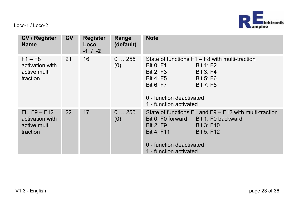

| <b>CV / Register</b><br><b>Name</b>                           | $c_{V}$ | <b>Register</b><br>Loco<br>$-1$ / $-2$ | Range<br>(default) | <b>Note</b>                                                                                                                                                                                                                                            |
|---------------------------------------------------------------|---------|----------------------------------------|--------------------|--------------------------------------------------------------------------------------------------------------------------------------------------------------------------------------------------------------------------------------------------------|
| $F1 - F8$<br>activation with<br>active multi<br>traction      | 21      | 16                                     | 0255<br>(0)        | State of functions F1 – F8 with multi-traction<br><b>Bit 0: F1</b><br><b>Bit 1: F2</b><br><b>Bit 2: F3</b><br><b>Bit 3: F4</b><br>Bit 4: F5<br><b>Bit 5: F6</b><br>Bit 6: F7<br><b>Bit 7: F8</b><br>0 - function deactivated<br>1 - function activated |
| $FL, F9 - F12$<br>activation with<br>active multi<br>traction | 22      | 17                                     | 0255<br>(0)        | State of functions FL and F9 - F12 with multi-traction<br>Bit 0: F0 forward<br>Bit 1: F0 backward<br><b>Bit 2: F9</b><br>Bit 3: F10<br><b>Bit 4: F11</b><br><b>Bit 5: F12</b><br>0 - function deactivated<br>1 - function activated                    |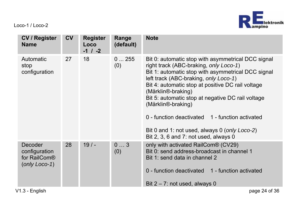

| <b>CV / Register</b><br><b>Name</b>                          | <b>CV</b> | <b>Register</b><br>Loco<br>$-1$ / $-2$ | Range<br>(default) | <b>Note</b>                                                                                                                                                                                                                                                                                                                                                                                                                                                                                    |
|--------------------------------------------------------------|-----------|----------------------------------------|--------------------|------------------------------------------------------------------------------------------------------------------------------------------------------------------------------------------------------------------------------------------------------------------------------------------------------------------------------------------------------------------------------------------------------------------------------------------------------------------------------------------------|
| Automatic<br>stop<br>configuration                           | 27        | 18                                     | 0255<br>(0)        | Bit 0: automatic stop with asymmetrical DCC signal<br>right track (ABC-braking, only Loco-1)<br>Bit 1: automatic stop with asymmetrical DCC signal<br>left track (ABC-braking, only Loco-1)<br>Bit 4: automatic stop at positive DC rail voltage<br>(Märklin®-braking)<br>Bit 5: automatic stop at negative DC rail voltage<br>(Märklin®-braking)<br>0 - function deactivated 1 - function activated<br>Bit 0 and 1: not used, always 0 (only Loco-2)<br>Bit 2, 3, 6 and 7: not used, always 0 |
| Decoder<br>configuration<br>for RailCom®<br>$( only LocO-1)$ | 28        | $19/ -$                                | 03<br>(0)          | only with activated RailCom® (CV29)<br>Bit 0: send address-broadcast in channel 1<br>Bit 1: send data in channel 2<br>0 - function deactivated 1 - function activated<br>Bit $2 - 7$ : not used, always 0                                                                                                                                                                                                                                                                                      |
| V1.3 - English                                               |           |                                        |                    | page 24 of 36                                                                                                                                                                                                                                                                                                                                                                                                                                                                                  |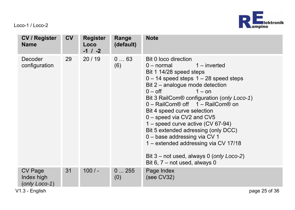

| CV / Register<br><b>Name</b>           | <b>CV</b> | Register<br>Loco<br>$-1$ / $-2$ | Range<br>(default) | <b>Note</b>                                                                                                                                                                                                                                                                                                                                                                                                                                                                                                                                                                    |
|----------------------------------------|-----------|---------------------------------|--------------------|--------------------------------------------------------------------------------------------------------------------------------------------------------------------------------------------------------------------------------------------------------------------------------------------------------------------------------------------------------------------------------------------------------------------------------------------------------------------------------------------------------------------------------------------------------------------------------|
| Decoder<br>configuration               | 29        | 20/19                           | 063<br>(6)         | Bit 0 loco direction<br>$1$ – inverted<br>0 – normal<br>Bit 1 14/28 speed steps<br>$0 - 14$ speed steps $1 - 28$ speed steps<br>Bit 2 - analogue mode detection<br>$0 - off$<br>$1 -$ on<br>Bit 3 RailCom® configuration (only Loco-1)<br>0 - RailCom® off 1 - RailCom® on<br>Bit 4 speed curve selection<br>0 - speed via CV2 and CV5<br>1 – speed curve active $(CV 67-94)$<br>Bit 5 extended adressing (only DCC)<br>0 - base addressing via CV 1<br>1 – extended addressing via CV 17/18<br>Bit $3$ – not used, always 0 (only Loco-2)<br>Bit 6, $7 - not used$ , always 0 |
| CV Page<br>Index high<br>(only Loco-1) | 31        | $100/-$                         | 0255<br>(0)        | Page Index<br>(see CV32)                                                                                                                                                                                                                                                                                                                                                                                                                                                                                                                                                       |
| V1.3 - Enalish                         |           |                                 |                    | page 25 of 36                                                                                                                                                                                                                                                                                                                                                                                                                                                                                                                                                                  |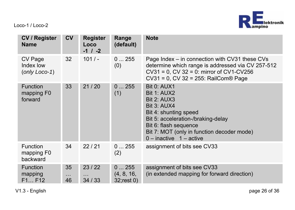

| CV / Register<br><b>Name</b>             | <b>CV</b>            | <b>Register</b><br>Loco<br>$-1$ / $-2$ | Range<br>(default)                   | <b>Note</b>                                                                                                                                                                                                                        |
|------------------------------------------|----------------------|----------------------------------------|--------------------------------------|------------------------------------------------------------------------------------------------------------------------------------------------------------------------------------------------------------------------------------|
| CV Page<br>Index low<br>$(only Loco-1)$  | 32                   | 101/                                   | 0255<br>(0)                          | Page Index – in connection with CV31 these CVs<br>determine which range is addressed via CV 257-512<br>$CV31 = 0$ , $CV32 = 0$ : mirror of $CV1-CV256$<br>CV31 = 0, CV 32 = 255: RailCom® Page                                     |
| <b>Function</b><br>mapping F0<br>forward | 33                   | 21/20                                  | 0255<br>(1)                          | Bit 0: AUX1<br><b>Bit 1: AUX2</b><br>Bit 2: AUX3<br>Bit 3: AUX4<br>Bit 4: shunting speed<br>Bit 5: acceleration-/braking-delay<br>Bit 6: flash sequence<br>Bit 7: MOT (only in function decoder mode)<br>$0$ – inactive 1 – active |
| Function<br>mapping F0<br>backward       | 34                   | 22/21                                  | 0255<br>(2)                          | assignment of bits see CV33                                                                                                                                                                                                        |
| <b>Function</b><br>mapping<br>F1 F12     | 35<br>$\cdots$<br>46 | 23/22<br>$\cdots$<br>34/33             | 0255<br>(4, 8, 16,<br>$32$ ; rest 0) | assignment of bits see CV33<br>(in extended mapping for forward direction)                                                                                                                                                         |

V1.3 - English page 26 of 36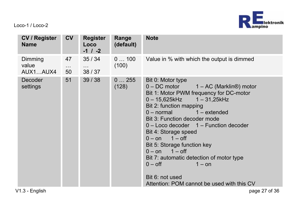

| <b>CV / Register</b><br><b>Name</b> | <b>CV</b>            | <b>Register</b><br>Loco<br>$-1$ / $-2$ | Range<br>(default) | <b>Note</b>                                                                                                                                                                                                                                                                                                                                                                                                                                                                                                                                                            |
|-------------------------------------|----------------------|----------------------------------------|--------------------|------------------------------------------------------------------------------------------------------------------------------------------------------------------------------------------------------------------------------------------------------------------------------------------------------------------------------------------------------------------------------------------------------------------------------------------------------------------------------------------------------------------------------------------------------------------------|
| Dimming<br>value<br>AUX1AUX4        | 47<br>$\cdots$<br>50 | 35/34<br>$\cdots$<br>38/37             | 0100<br>(100)      | Value in % with which the output is dimmed                                                                                                                                                                                                                                                                                                                                                                                                                                                                                                                             |
| Decoder<br>settings                 | 51                   | 39/38                                  | 0255<br>(128)      | Bit 0: Motor type<br>$0 - DC$ motor $1 - AC$ (Marklin <sup>®</sup> ) motor<br>Bit 1: Motor PWM frequency for DC-motor<br>$0 - 15.625$ kHz $1 - 31.25$ kHz<br>Bit 2: function mapping<br>$0$ – normal<br>$1 -$ extended<br>Bit 3: Function decoder mode<br>$0 -$ Loco decoder $1 -$ Function decoder<br>Bit 4: Storage speed<br>$0 - \text{on}$ 1 $-\text{off}$<br>Bit 5: Storage function key<br>$0 - \text{on}$ 1 $-\text{off}$<br>Bit 7: automatic detection of motor type<br>$0 - off$<br>$1 -$ on<br>Bit 6: not used<br>Attention: POM cannot be used with this CV |
| V1.3 - English                      |                      |                                        |                    | page 27 of 36                                                                                                                                                                                                                                                                                                                                                                                                                                                                                                                                                          |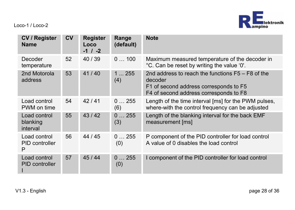

| <b>CV / Register</b><br><b>Name</b>  | <b>CV</b> | <b>Register</b><br>Loco<br>$-1$ / $-2$ | Range<br>(default) | <b>Note</b>                                                                                                                                        |
|--------------------------------------|-----------|----------------------------------------|--------------------|----------------------------------------------------------------------------------------------------------------------------------------------------|
| Decoder<br>temperature               | 52        | 40/39                                  | 0100               | Maximum measured temperature of the decoder in<br>°C. Can be reset by writing the value '0'.                                                       |
| 2nd Motorola<br>address              | 53        | 41/40                                  | 1255<br>(4)        | 2nd address to reach the functions $F5 - F8$ of the<br>decoder<br>F1 of second address corresponds to F5<br>F4 of second address corresponds to F8 |
| Load control<br>PWM on time          | 54        | 42/41                                  | 0255<br>(6)        | Length of the time interval [ms] for the PWM pulses,<br>where-with the control frequency can be adjusted                                           |
| Load control<br>blanking<br>interval | 55        | 43/42                                  | 0255<br>(3)        | Length of the blanking interval for the back EMF<br>measurement [ms]                                                                               |
| Load control<br>PID controller<br>P  | 56        | 44 / 45                                | 0255<br>(0)        | P component of the PID controller for load control<br>A value of 0 disables the load control                                                       |
| Load control<br>PID controller       | 57        | 45/44                                  | 0255<br>(0)        | I component of the PID controller for load control                                                                                                 |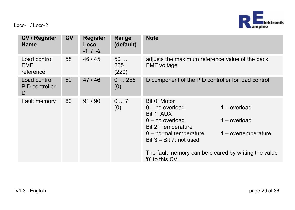

| CV / Register<br><b>Name</b>        | CV | <b>Register</b><br>Loco<br>$-1$ / $-2$ | Range<br>(default) | <b>Note</b>                                                                                                                                                                                                                                                                                |  |
|-------------------------------------|----|----------------------------------------|--------------------|--------------------------------------------------------------------------------------------------------------------------------------------------------------------------------------------------------------------------------------------------------------------------------------------|--|
| Load control<br>EMF<br>reference    | 58 | 46/45                                  | 50<br>255<br>(220) | adjusts the maximum reference value of the back<br><b>EMF</b> voltage                                                                                                                                                                                                                      |  |
| Load control<br>PID controller<br>D | 59 | 47/46                                  | 0255<br>(0)        | D component of the PID controller for load control                                                                                                                                                                                                                                         |  |
| <b>Fault memory</b>                 | 60 | 91/90                                  | 07<br>(0)          | Bit 0: Motor<br>$1 -$ overload<br>$0 - no$ overload<br>Bit 1: AUX<br>$1 -$ overload<br>$0 - no$ overload<br>Bit 2: Temperature<br>$0$ – normal temperature<br>$1 -$ overtemperature<br>Bit $3 -$ Bit 7: not used<br>The fault memory can be cleared by writing the value<br>'0' to this CV |  |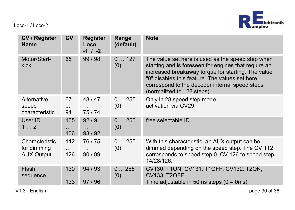

| <b>CV / Register</b><br>Name                       | CV                     | <b>Register</b><br>Loco<br>$-1$ / $-2$ | Range<br>(default) | <b>Note</b>                                                                                                                                                                                                                                                                                      |
|----------------------------------------------------|------------------------|----------------------------------------|--------------------|--------------------------------------------------------------------------------------------------------------------------------------------------------------------------------------------------------------------------------------------------------------------------------------------------|
| Motor/Start-<br>kick                               | 65                     | 99/98                                  | 0127<br>(0)        | The value set here is used as the speed step when<br>starting and is foreseen for engines that require an<br>increased breakaway torque for starting. The value<br>"0" disables this feature. The values set here<br>correspond to the decoder internal speed steps<br>(normalized to 128 steps) |
| Alternative<br>speed<br>characteristic             | 67<br>.<br>94          | 48/47<br>$\cdots$<br>75/74             | 0255<br>(0)        | Only in 28 speed step mode<br>activation via CV29                                                                                                                                                                                                                                                |
| User ID<br>12                                      | 105<br>.<br>106        | 92/91<br>$\cdots$<br>93/92             | 0255<br>(0)        | free selectable ID                                                                                                                                                                                                                                                                               |
| Characteristic<br>for dimming<br><b>AUX Output</b> | 112<br>$\cdots$<br>126 | 76/75<br>$\cdots$<br>90/89             | 0255<br>(0)        | With this characteristic, an AUX output can be<br>dimmed depending on the speed step. The CV 112<br>corresponds to speed step 0, CV 126 to speed step<br>14/28/126.                                                                                                                              |
| Flash<br>sequence                                  | 130<br>.<br>133        | 94/93<br>97/96                         | 0255<br>(0)        | CV130: T1ON, CV131: T1OFF, CV132: T2ON,<br>CV133, T2OFF.<br>Time adjustable in 50ms steps $(0 = 0 \text{ms})$                                                                                                                                                                                    |

V1.3 - English page 30 of 36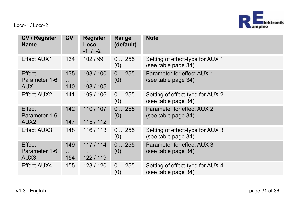

| <b>CV / Register</b><br><b>Name</b>         | <b>CV</b>               | <b>Register</b><br>Loco<br>$-1$ / $-2$ | Range<br>(default) | <b>Note</b>                                             |
|---------------------------------------------|-------------------------|----------------------------------------|--------------------|---------------------------------------------------------|
| Effect AUX1                                 | 134                     | 102/99                                 | 0255<br>(0)        | Setting of effect-type for AUX 1<br>(see table page 34) |
| Effect<br>Parameter 1-6<br>AUX <sub>1</sub> | 135<br>$\cdots$<br>140  | 103/100<br>$\cdots$<br>108 / 105       | 0255<br>(0)        | Parameter for effect AUX 1<br>(see table page 34)       |
| Effect AUX2                                 | 141                     | 109 / 106                              | 0255<br>(0)        | Setting of effect-type for AUX 2<br>(see table page 34) |
| Effect<br>Parameter 1-6<br>AUX <sub>2</sub> | 142<br>$\ddotsc$<br>147 | 110 / 107<br>$\cdots$<br>115/112       | 0255<br>(0)        | Parameter for effect AUX 2<br>(see table page 34)       |
| Effect AUX3                                 | 148                     | 116 / 113                              | 0255<br>(0)        | Setting of effect-type for AUX 3<br>(see table page 34) |
| Effect<br>Parameter 1-6<br>AUX <sub>3</sub> | 149<br>$\ddotsc$<br>154 | 117/114<br>$\cdots$<br>122/119         | 0255<br>(0)        | Parameter for effect AUX 3<br>(see table page 34)       |
| Effect AUX4                                 | 155                     | 123 / 120                              | 0255<br>(0)        | Setting of effect-type for AUX 4<br>(see table page 34) |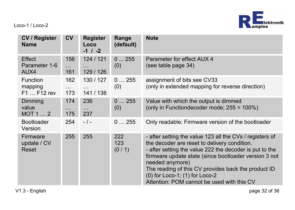

| <b>CV / Register</b><br><b>Name</b> | CV                      | <b>Register</b><br>Loco<br>$-1$ / $-2$ | Range<br>(default)  | <b>Note</b>                                                                                                                                                                                                                                                                                                                                                                            |
|-------------------------------------|-------------------------|----------------------------------------|---------------------|----------------------------------------------------------------------------------------------------------------------------------------------------------------------------------------------------------------------------------------------------------------------------------------------------------------------------------------------------------------------------------------|
| Effect<br>Parameter 1-6<br>AUX4     | 156<br>$\cdots$<br>161  | 124 / 121<br>$\cdots$<br>129 / 126     | 0255<br>(0)         | Parameter for effect AUX 4<br>(see table page 34)                                                                                                                                                                                                                                                                                                                                      |
| Function<br>mapping<br>F1  F12 rev  | 162<br>$\ddotsc$<br>173 | 130 / 127<br>$\cdots$<br>141 / 138     | 0255<br>(0)         | assignment of bits see CV33<br>(only in extended mapping for reverse direction)                                                                                                                                                                                                                                                                                                        |
| Dimming<br>value<br>MOT12           | 174<br>$\cdots$<br>175  | 236<br>$\cdots$<br>237                 | 0255<br>(0)         | Value with which the output is dimmed<br>(only in Functiondecoder mode; $255 = 100\%)$                                                                                                                                                                                                                                                                                                 |
| <b>Bootloader</b><br>Version        | 254                     | $-1-$                                  | 0255                | Only readable; Firmware version of the bootloader                                                                                                                                                                                                                                                                                                                                      |
| Firmware<br>update / CV<br>Reset    | 255                     | 255                                    | 222<br>123<br>(0/1) | - after setting the value 123 all the CVs / registers of<br>the decoder are reset to delivery condition.<br>- after setting the value 222 the decoder is put to the<br>firmware update state (since bootloader version 3 not<br>needed anymore)<br>The reading of this CV provides back the product ID<br>(0) for Loco-1; (1) for Loco-2<br>Attention: POM cannot be used with this CV |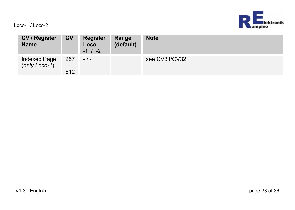

| <b>CV / Register</b><br><b>Name</b> | <b>CV</b>              | <b>Register</b><br>Loco<br>$-1$ / $-2$ | Range<br>(default) | <b>Note</b>   |
|-------------------------------------|------------------------|----------------------------------------|--------------------|---------------|
| Indexed Page<br>(only Loco-1)       | 257<br>$\cdots$<br>512 | $-$ / $-$                              |                    | see CV31/CV32 |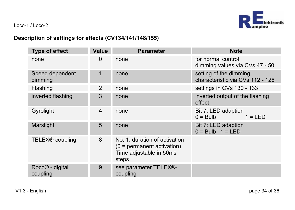

#### **Description of settings for effects (CV134/141/148/155)**

| <b>Type of effect</b>                   | Value         | <b>Parameter</b>                                                                                  | <b>Note</b>                                                |
|-----------------------------------------|---------------|---------------------------------------------------------------------------------------------------|------------------------------------------------------------|
| none                                    | 0             | none                                                                                              | for normal control<br>dimming values via CVs 47 - 50       |
| Speed dependent<br>dimming              | 1             | none                                                                                              | setting of the dimming<br>characteristic via CVs 112 - 126 |
| Flashing                                | $\mathcal{P}$ | none                                                                                              | settings in CVs 130 - 133                                  |
| inverted flashing                       | 3             | none                                                                                              | inverted output of the flashing<br>effect                  |
| Gyrolight                               | 4             | none                                                                                              | Bit 7: LED adaption<br>$1 = IFD$<br>$0 = Bulb$             |
| Marslight                               | 5             | none                                                                                              | Bit 7: LED adaption<br>$0 = Bulb$ 1 = LED                  |
| TELEX <sup>®</sup> -coupling            | 8             | No. 1: duration of activation<br>$(0 =$ permanent activation)<br>Time adjustable in 50ms<br>steps |                                                            |
| Roco <sup>®</sup> - digital<br>coupling | 9             | see parameter TELEX®-<br>coupling                                                                 |                                                            |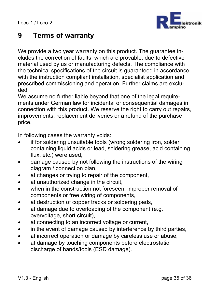

## **9 Terms of warranty**

We provide a two year warranty on this product. The guarantee includes the correction of faults, which are provable, due to defective material used by us or manufacturing defects. The compliance with the technical specifications of the circuit is guaranteed in accordance with the instruction compliant installation, specialist application and prescribed commissioning and operation. Further claims are excluded.

We assume no further liable beyond that one of the legal requirements under German law for incidental or consequential damages in connection with this product. We reserve the right to carry out repairs, improvements, replacement deliveries or a refund of the purchase price.

In following cases the warranty voids:

- if for soldering unsuitable tools (wrong soldering iron, solder containing liquid acids or lead, soldering grease, acid containing flux, etc.) were used,
- damage caused by not following the instructions of the wiring diagram / connection plan,
- at changes or trying to repair of the component.
- at unauthorized change in the circuit,
- when in the construction not foreseen, improper removal of components or free wiring of components,
- at destruction of copper tracks or soldering pads,
- at damage due to overloading of the component (e.g. overvoltage, short circuit),
- at connecting to an incorrect voltage or current,
- in the event of damage caused by interference by third parties,
- at incorrect operation or damage by careless use or abuse,
- at damage by touching components before electrostatic discharge of hands/tools (ESD damage).